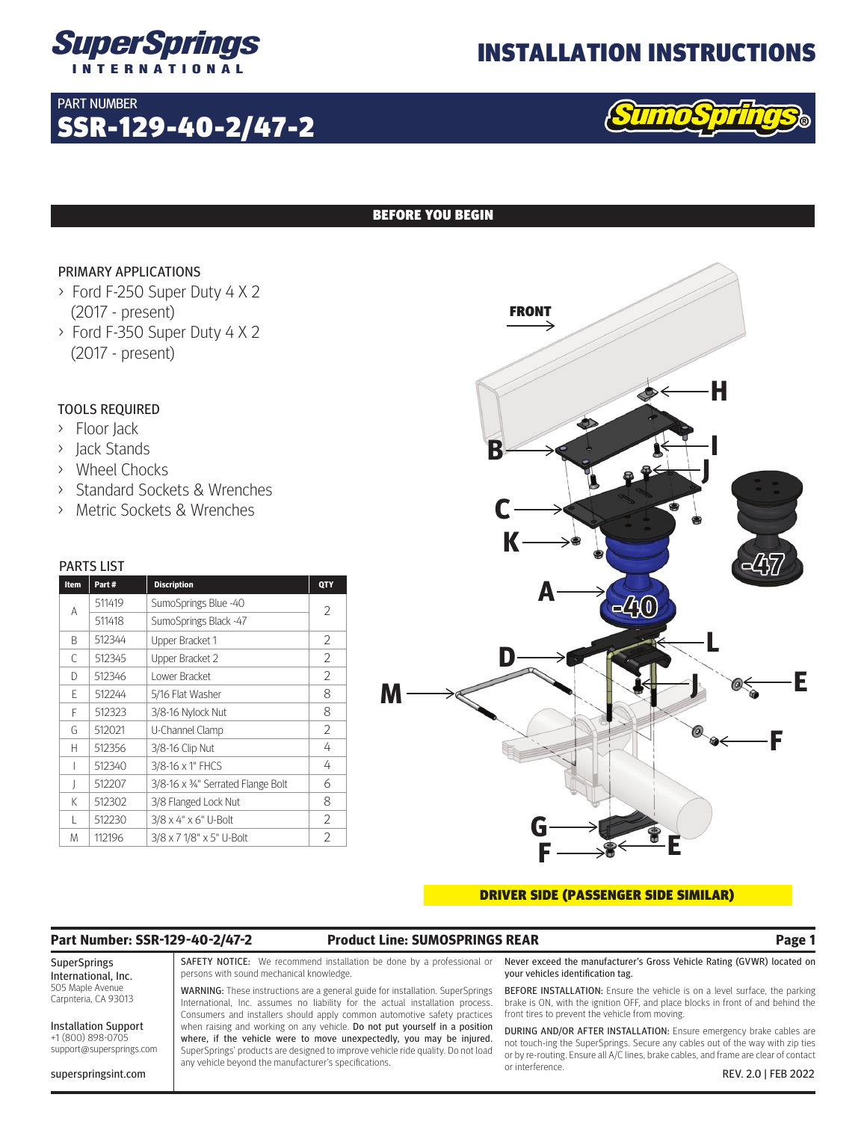

SSR-129-40-2/47-2

# INSTALLATION INSTRUCTIONS

### BEFORE YOU BEGIN

### PRIMARY APPLICATIONS

PART NUMBER

- > Ford F-250 Super Duty 4 X 2 (2017 - present)
- > Ford F-350 Super Duty 4 X 2 (2017 - present)

### TOOLS REQUIRED

- > Floor Jack
- > Jack Stands
- > Wheel Chocks
- > Standard Sockets & Wrenches
- > Metric Sockets & Wrenches

#### PARTS LIST

| Item | Part#  | <b>Discription</b>                | QTY            |
|------|--------|-----------------------------------|----------------|
| A    | 511419 | SumoSprings Blue -40              | 2              |
|      | 511418 | SumoSprings Black -47             |                |
| B    | 512344 | Upper Bracket 1                   | 2              |
| С    | 512345 | Upper Bracket 2                   | 2              |
| D    | 512346 | Lower Bracket                     | 2              |
| F    | 512244 | 5/16 Flat Washer                  | 8              |
| F    | 512323 | 3/8-16 Nylock Nut                 | 8              |
| G    | 512021 | U-Channel Clamp                   | 2              |
| Н    | 512356 | 3/8-16 Clip Nut                   | 4              |
|      | 512340 | 3/8-16 x 1" FHCS                  | 4              |
| I    | 512207 | 3/8-16 x 34" Serrated Flange Bolt | 6              |
| K    | 512302 | 3/8 Flanged Lock Nut              | 8              |
| L    | 512230 | 3/8 x 4" x 6" U-Bolt              | 2              |
| M    | 112196 | 3/8 x 7 1/8" x 5" U-Bolt          | $\overline{2}$ |



#### DRIVER SIDE (PASSENGER SIDE SIMILAR)

### **Part Number: SSR-129-40-2/47-2 Product Line: SUMOSPRINGS REAR Page 1**

SuperSprings International, Inc. 505 Maple Avenue Carpnteria, CA 93013

Installation Support +1 (800) 898-0705 support@supersprings.com

superspringsint.com

SAFETY NOTICE: We recommend installation be done by a professional or persons with sound mechanical knowledge.

WARNING: These instructions are a general guide for installation. SuperSprings International, Inc. assumes no liability for the actual installation process. Consumers and installers should apply common automotive safety practices when raising and working on any vehicle. Do not put yourself in a position where, if the vehicle were to move unexpectedly, you may be injured. SuperSprings' products are designed to improve vehicle ride quality. Do not load any vehicle beyond the manufacturer's specifications.

Never exceed the manufacturer's Gross Vehicle Rating (GVWR) located on your vehicles identification tag.

BEFORE INSTALLATION: Ensure the vehicle is on a level surface, the parking brake is ON, with the ignition OFF, and place blocks in front of and behind the front tires to prevent the vehicle from moving.

DURING AND/OR AFTER INSTALLATION: Ensure emergency brake cables are not touch-ing the SuperSprings. Secure any cables out of the way with zip ties or by re-routing. Ensure all A/C lines, brake cables, and frame are clear of contact or interference. REV. 2.0 | FEB 2022